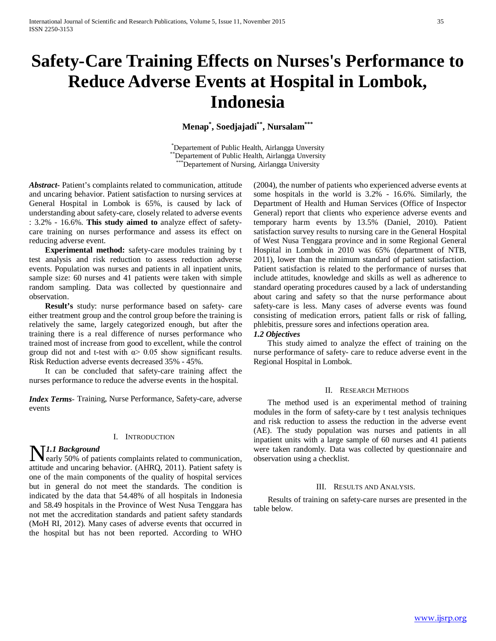# **Safety-Care Training Effects on Nurses's Performance to Reduce Adverse Events at Hospital in Lombok, Indonesia**

**Menap\* , Soedjajadi\*\*, Nursalam\*\*\***

\*Departement of Public Health, Airlangga Unversity <sup>\*</sup>Departement of Public Health, Airlangga Unversity<br>\*\*\*Departement of Nursing, Airlangga University

*Abstract***-** Patient's complaints related to communication, attitude and uncaring behavior. Patient satisfaction to nursing services at General Hospital in Lombok is 65%, is caused by lack of understanding about safety-care, closely related to adverse events : 3.2% - 16.6%. **This study aimed to** analyze effect of safetycare training on nurses performance and assess its effect on reducing adverse event.

 **Experimental method:** safety-care modules training by t test analysis and risk reduction to assess reduction adverse events. Population was nurses and patients in all inpatient units, sample size: 60 nurses and 41 patients were taken with simple random sampling. Data was collected by questionnaire and observation.

 **Result's** study: nurse performance based on safety- care either treatment group and the control group before the training is relatively the same, largely categorized enough, but after the training there is a real difference of nurses performance who trained most of increase from good to excellent, while the control group did not and t-test with  $\alpha$  > 0.05 show significant results. Risk Reduction adverse events decreased 35% - 45%.

It can be concluded that safety-care training affect the nurses performance to reduce the adverse events in the hospital.

*Index Terms*- Training, Nurse Performance, Safety-care, adverse events

# I. INTRODUCTION

# *1.1 Background*

**NI.1 Background**<br>early 50% of patients complaints related to communication, attitude and uncaring behavior. (AHRQ, 2011). Patient safety is one of the main components of the quality of hospital services but in general do not meet the standards. The condition is indicated by the data that 54.48% of all hospitals in Indonesia and 58.49 hospitals in the Province of West Nusa Tenggara has not met the accreditation standards and patient safety standards (MoH RI, 2012). Many cases of adverse events that occurred in the hospital but has not been reported. According to WHO

(2004), the number of patients who experienced adverse events at some hospitals in the world is 3.2% - 16.6%. Similarly, the Department of Health and Human Services (Office of Inspector General) report that clients who experience adverse events and temporary harm events by 13.5% (Daniel, 2010). Patient satisfaction survey results to nursing care in the General Hospital of West Nusa Tenggara province and in some Regional General Hospital in Lombok in 2010 was 65% (department of NTB, 2011), lower than the minimum standard of patient satisfaction. Patient satisfaction is related to the performance of nurses that include attitudes, knowledge and skills as well as adherence to standard operating procedures caused by a lack of understanding about caring and safety so that the nurse performance about safety-care is less. Many cases of adverse events was found consisting of medication errors, patient falls or risk of falling, phlebitis, pressure sores and infections operation area.

## *1.2 Objectives*

 This study aimed to analyze the effect of training on the nurse performance of safety- care to reduce adverse event in the Regional Hospital in Lombok.

## II. RESEARCH METHODS

 The method used is an experimental method of training modules in the form of safety-care by t test analysis techniques and risk reduction to assess the reduction in the adverse event (AE). The study population was nurses and patients in all inpatient units with a large sample of 60 nurses and 41 patients were taken randomly. Data was collected by questionnaire and observation using a checklist.

## III. RESULTS AND ANALYSIS.

 Results of training on safety-care nurses are presented in the table below.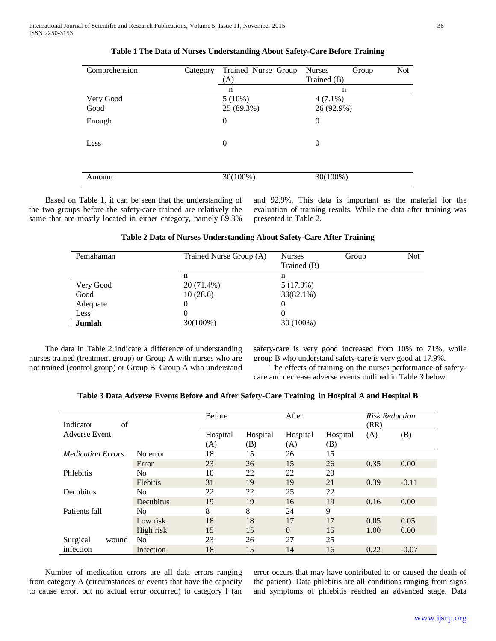| Comprehension     | Category | Trained Nurse Group<br>(A) | <b>Nurses</b><br>Group<br>Trained (B) | <b>Not</b> |
|-------------------|----------|----------------------------|---------------------------------------|------------|
|                   |          | n                          | n                                     |            |
| Very Good<br>Good |          | $5(10\%)$<br>25 (89.3%)    | $4(7.1\%)$<br>26 (92.9%)              |            |
| Enough            |          | $\boldsymbol{0}$           | $\boldsymbol{0}$                      |            |
| Less              |          | $\theta$                   | $\theta$                              |            |
| Amount            |          | 30(100%)                   | 30(100%)                              |            |

# **Table 1 The Data of Nurses Understanding About Safety-Care Before Training**

 Based on Table 1, it can be seen that the understanding of the two groups before the safety-care trained are relatively the same that are mostly located in either category, namely 89.3%

and 92.9%. This data is important as the material for the evaluation of training results. While the data after training was presented in Table 2.

## **Table 2 Data of Nurses Understanding About Safety-Care After Training**

| Pemahaman | Trained Nurse Group (A) | <b>Nurses</b><br>Trained (B) | Group | <b>Not</b> |
|-----------|-------------------------|------------------------------|-------|------------|
|           | n                       | n                            |       |            |
| Very Good | 20 (71.4%)              | 5(17.9%)                     |       |            |
| Good      | 10(28.6)                | $30(82.1\%)$                 |       |            |
| Adequate  |                         | 0                            |       |            |
| Less      |                         | $\left($                     |       |            |
| Jumlah    | 30(100%)                | 30 (100%)                    |       |            |
|           |                         |                              |       |            |

 The data in Table 2 indicate a difference of understanding nurses trained (treatment group) or Group A with nurses who are not trained (control group) or Group B. Group A who understand safety-care is very good increased from 10% to 71%, while group B who understand safety-care is very good at 17.9%.

 The effects of training on the nurses performance of safetycare and decrease adverse events outlined in Table 3 below.

|                                  |                 | Before   |          | After    |          | <b>Risk Reduction</b> |         |
|----------------------------------|-----------------|----------|----------|----------|----------|-----------------------|---------|
| of<br>Indicator<br>Adverse Event |                 |          |          |          |          | (RR)                  |         |
|                                  |                 | Hospital | Hospital | Hospital | Hospital | (A)                   | (B)     |
|                                  |                 | (A)      | (B)      | (A)      | (B)      |                       |         |
| <b>Medication Errors</b>         | No error        | 18       | 15       | 26       | 15       |                       |         |
|                                  | Error           | 23       | 26       | 15       | 26       | 0.35                  | 0.00    |
| Phlebitis                        | N <sub>0</sub>  | 10       | 22       | 22       | 20       |                       |         |
|                                  | <b>Flebitis</b> | 31       | 19       | 19       | 21       | 0.39                  | $-0.11$ |
| Decubitus                        | N <sub>0</sub>  | 22       | 22       | 25       | 22       |                       |         |
|                                  | Decubitus       | 19       | 19       | 16       | 19       | 0.16                  | 0.00    |
| Patients fall                    | N <sub>0</sub>  | 8        | 8        | 24       | 9        |                       |         |
|                                  | Low risk        | 18       | 18       | 17       | 17       | 0.05                  | 0.05    |
|                                  | High risk       | 15       | 15       | $\Omega$ | 15       | 1.00                  | 0.00    |
| Surgical<br>wound<br>infection   | N <sub>0</sub>  | 23       | 26       | 27       | 25       |                       |         |
|                                  | Infection       | 18       | 15       | 14       | 16       | 0.22                  | $-0.07$ |

**Table 3 Data Adverse Events Before and After Safety-Care Training in Hospital A and Hospital B**

 Number of medication errors are all data errors ranging from category A (circumstances or events that have the capacity to cause error, but no actual error occurred) to category I (an

error occurs that may have contributed to or caused the death of the patient). Data phlebitis are all conditions ranging from signs and symptoms of phlebitis reached an advanced stage. Data